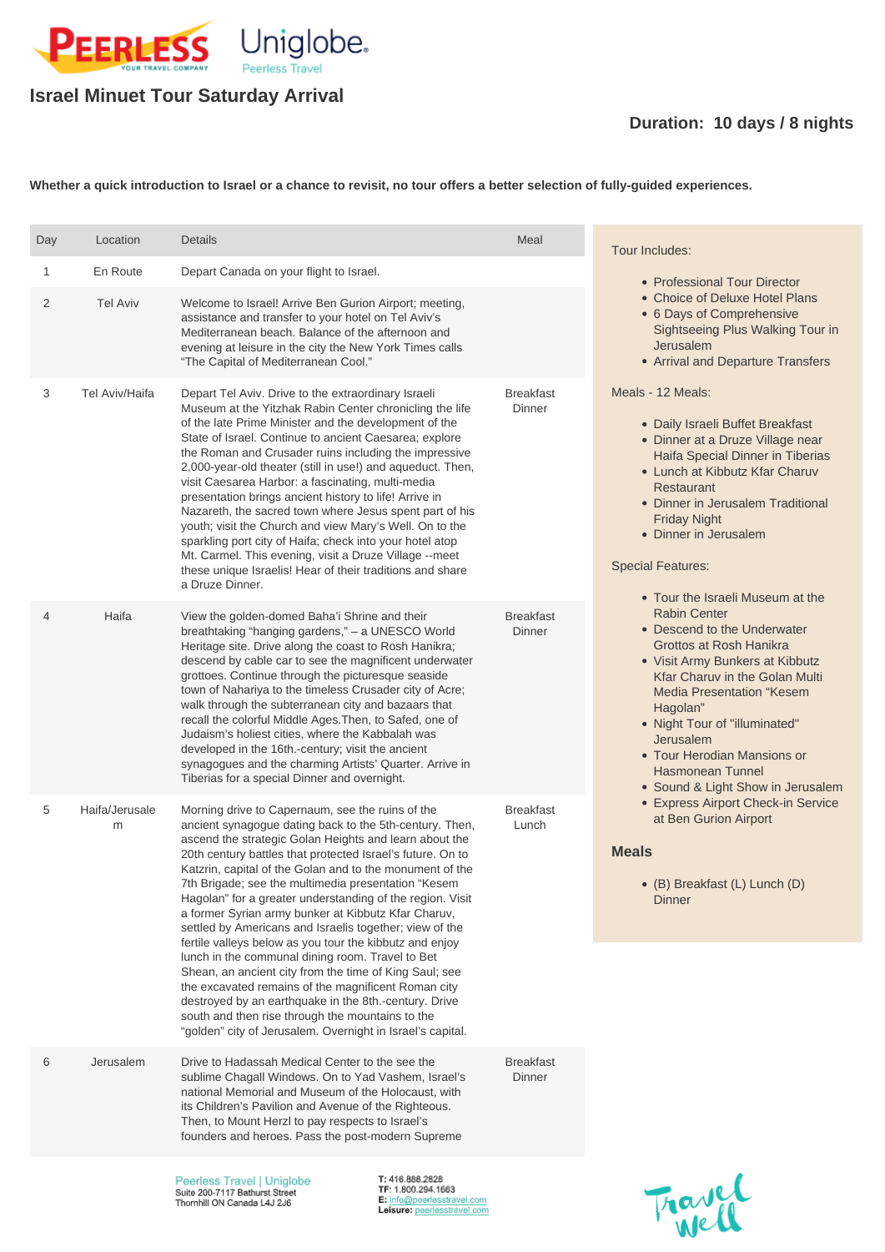

## **Israel Minuet Tour Saturday Arrival**

## **Duration: 10 days / 8 nights**

**Whether a quick introduction to Israel or a chance to revisit, no tour offers a better selection of fully-guided experiences.**

Breakfast **Dinner** 

Peerless Travel | Uniglobe Suite 200-7117 Bathurst Street Thornhill ON Canada L4J 2J6

T: 416.888.2828 TF: 1.800.294.1663 E: info@peerlesstravel.com Leisure: peerlesstravel.com



| Day            | Location            | <b>Details</b>                                                                                                                                                                                                                                                                                                                                                                                                                                                                                                                                                                                                                                                                                                                                                                                      | Meal                       | Tour Includes:                                                                                                                                                                                                                                                                                                                                                                                                                                                                                                                                                                                                                                                                                                                                                                                                                                                                                                                                                                                                                   |  |
|----------------|---------------------|-----------------------------------------------------------------------------------------------------------------------------------------------------------------------------------------------------------------------------------------------------------------------------------------------------------------------------------------------------------------------------------------------------------------------------------------------------------------------------------------------------------------------------------------------------------------------------------------------------------------------------------------------------------------------------------------------------------------------------------------------------------------------------------------------------|----------------------------|----------------------------------------------------------------------------------------------------------------------------------------------------------------------------------------------------------------------------------------------------------------------------------------------------------------------------------------------------------------------------------------------------------------------------------------------------------------------------------------------------------------------------------------------------------------------------------------------------------------------------------------------------------------------------------------------------------------------------------------------------------------------------------------------------------------------------------------------------------------------------------------------------------------------------------------------------------------------------------------------------------------------------------|--|
| 1              | En Route            | Depart Canada on your flight to Israel.                                                                                                                                                                                                                                                                                                                                                                                                                                                                                                                                                                                                                                                                                                                                                             |                            | • Professional Tour Director<br>• Choice of Deluxe Hotel Plans<br>• 6 Days of Comprehensive<br><b>Sightseeing Plus Walking Tour in</b><br>Jerusalem<br>• Arrival and Departure Transfers<br>Meals - 12 Meals:<br>• Daily Israeli Buffet Breakfast<br>• Dinner at a Druze Village near<br>Haifa Special Dinner in Tiberias<br>• Lunch at Kibbutz Kfar Charuv<br><b>Restaurant</b><br>• Dinner in Jerusalem Traditional<br><b>Friday Night</b><br>• Dinner in Jerusalem<br><b>Special Features:</b><br>• Tour the Israeli Museum at the<br><b>Rabin Center</b><br>• Descend to the Underwater<br>Grottos at Rosh Hanikra<br>• Visit Army Bunkers at Kibbutz<br><b>Kfar Charuv in the Golan Multi</b><br><b>Media Presentation "Kesem</b><br>Hagolan"<br>• Night Tour of "illuminated"<br>Jerusalem<br>• Tour Herodian Mansions or<br><b>Hasmonean Tunnel</b><br>• Sound & Light Show in Jerusalem<br>• Express Airport Check-in Service<br>at Ben Gurion Airport<br><b>Meals</b><br>• (B) Breakfast (L) Lunch (D)<br><b>Dinner</b> |  |
| $\overline{2}$ | <b>Tel Aviv</b>     | Welcome to Israel! Arrive Ben Gurion Airport; meeting,<br>assistance and transfer to your hotel on Tel Aviv's<br>Mediterranean beach. Balance of the afternoon and<br>evening at leisure in the city the New York Times calls<br>"The Capital of Mediterranean Cool."                                                                                                                                                                                                                                                                                                                                                                                                                                                                                                                               |                            |                                                                                                                                                                                                                                                                                                                                                                                                                                                                                                                                                                                                                                                                                                                                                                                                                                                                                                                                                                                                                                  |  |
| 3              | Tel Aviv/Haifa      | Depart Tel Aviv. Drive to the extraordinary Israeli<br>Museum at the Yitzhak Rabin Center chronicling the life<br>of the late Prime Minister and the development of the<br>State of Israel. Continue to ancient Caesarea; explore<br>the Roman and Crusader ruins including the impressive<br>2,000-year-old theater (still in use!) and aqueduct. Then,<br>visit Caesarea Harbor: a fascinating, multi-media<br>presentation brings ancient history to life! Arrive in<br>Nazareth, the sacred town where Jesus spent part of his<br>youth; visit the Church and view Mary's Well. On to the<br>sparkling port city of Haifa; check into your hotel atop<br>Mt. Carmel. This evening, visit a Druze Village --meet<br>these unique Israelis! Hear of their traditions and share<br>a Druze Dinner. | <b>Breakfast</b><br>Dinner |                                                                                                                                                                                                                                                                                                                                                                                                                                                                                                                                                                                                                                                                                                                                                                                                                                                                                                                                                                                                                                  |  |
| $\overline{4}$ | Haifa               | View the golden-domed Baha'i Shrine and their<br>breathtaking "hanging gardens," - a UNESCO World<br>Heritage site. Drive along the coast to Rosh Hanikra;<br>descend by cable car to see the magnificent underwater<br>grottoes. Continue through the picturesque seaside<br>town of Nahariya to the timeless Crusader city of Acre;<br>walk through the subterranean city and bazaars that<br>recall the colorful Middle Ages. Then, to Safed, one of<br>Judaism's holiest cities, where the Kabbalah was<br>developed in the 16th.-century; visit the ancient<br>synagogues and the charming Artists' Quarter. Arrive in<br>Tiberias for a special Dinner and overnight.                                                                                                                         | <b>Breakfast</b><br>Dinner |                                                                                                                                                                                                                                                                                                                                                                                                                                                                                                                                                                                                                                                                                                                                                                                                                                                                                                                                                                                                                                  |  |
| 5              | Haifa/Jerusale<br>m | Morning drive to Capernaum, see the ruins of the<br>ancient synagogue dating back to the 5th-century. Then,<br>ascend the strategic Golan Heights and learn about the<br>20th century battles that protected Israel's future. On to<br>Katzrin, capital of the Golan and to the monument of the<br>7th Brigade; see the multimedia presentation "Kesem<br>Hagolan" for a greater understanding of the region. Visit<br>a former Syrian army bunker at Kibbutz Kfar Charuv,                                                                                                                                                                                                                                                                                                                          | <b>Breakfast</b><br>Lunch  |                                                                                                                                                                                                                                                                                                                                                                                                                                                                                                                                                                                                                                                                                                                                                                                                                                                                                                                                                                                                                                  |  |

settled by Americans and Israelis together; view of the

fertile valleys below as you tour the kibbutz and enjoy lunch in the communal dining room. Travel to Bet Shean, an ancient city from the time of King Saul; see the excavated remains of the magnificent Roman city destroyed by an earthquake in the 8th.-century. Drive south and then rise through the mountains to the "golden" city of Jerusalem. Overnight in Israel's capital.

6 Jerusalem Drive to Hadassah Medical Center to the see the sublime Chagall Windows. On to Yad Vashem, Israel's national Memorial and Museum of the Holocaust, with its Children's Pavilion and Avenue of the Righteous. Then, to Mount Herzl to pay respects to Israel's founders and heroes. Pass the post-modern Supreme